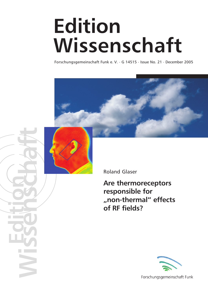## **Edition Wissenschaft**

Forschungsgemeinschaft Funk e. V. . G 14515 . Issue No. 21 . December 2005





**Wissenschaft Edition**

Roland Glaser

**Are thermoreceptors responsible for "non-thermal" effects of RF fields?**



Forschungsgemeinschaft Funk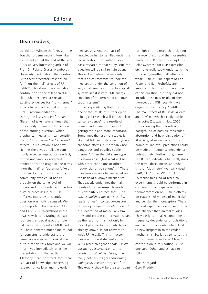#### **Dear readers,**

as "Edition Wissenschaft Nr. 21" the Forschungsgemeinschaft Funk likes to present you at the end of the year 2005 an very interesting article of Prof. Dr. Roland Glaser, Humboldt University, Berlin about the question: "Are thermoreceptors responsible for "non-thermal" effects of RF fields?". This should be a valuable contribution to the still open discussion, whether there are reliable existing evidences for "non-thermal" effects far under the limits of the ICNIRP recommendations. During the last years Prof. Roland Glaser had taken several times the opportunity to aim on clarification of the burning question, which biophysical mechanism can contribute to "non-thermal" or "athermal" effects. This question is not new. Neither there was a reliable commonly accepted reproducible effect, nor an unanimously accepted definition for the usage of the terms "non-thermal" or "athermal". Very often in discussions the scientific community even could not be brought on the same level of understanding of underlying mechanism or processes in cells. On different occasions this study question was hotly discussed. We have reported about several FGFand COST 281- Workshops in the "FGF Newsletter". During the last four years a special group of scientists with the support of MMF and FGF have donated much time to look for concepts to understand the issue. We are eager to look at the output of this task force and we will inform you immediately after the presentations of the results. Till today it can be stated, that there is a lack of knowledge concerning research on cellular and molecular

mechanisms. And that lack of knowledge has to be filled under the consideration, that without solid basic research of that study issue the question will be still remain open. This will underline the necessity of that kind of research: "to look for mechanism under the condition of very small energy input in biological systems like it is with EMF energy emission of modern radio communication systems"

If one is speculating that may be one of the results of further epidemiological research will be: "no clear cancer evidence", the results of human and animal studies will getting more and more important. Sometimes the result of studies is like that following statement: ..there are some effects, but probably non dangerous and possibly subtlethermal". Then the old stereotype questions arise: "but what will be with other conditions or other frequencies or pulsations?..." These questions can only be answered on the basis of a known mechanism. That exactly underlines the main points of further research needs. It is absolutely correct, that: "The *only established mechanisms that relate to health consequences are caused by temperature elevation ..."* but: excitation of molecular vibrations and protein conformations can be the result of this, not only by radical pair mechanism (which, as already known, is not relevant for weak RF-fields!). This is in accordance with the statement in the WHO research agenda that: "Micro*dosimetry research (i.e., at the cellular or subcellular levels) that may yield new insights concerning biologically relevant targets of RF".* This exactly should be the start point

for high priority research. Including the recent results of thermosensible molecules (TRP-receptors, GrpE, as "riboswitches" for HSP-expression etc.) one really could understand the so called "non-thermal" effects of weak RF-fields. The papers of Ken Foster and Earl Prohofsky are important steps to find the answer of this question, but they did not include these new results of thermoreception. FGF recently have organized a workshop "Subtle Thermal Effects of RF-Fields *in vitro* and *in vivo*", which exactly tackle this point (Stuttgart, Nov. 2005). Only knowing the theoretical background of possible molecular absorption and heat-dissipation of RF-energy at molecular and supramolecular level, predictions could be made on frequency dependence, pulsation etc. Furthermore, these results can indicate, what really does the term ..dose" mean, and what kind of "dosimetry" we really need (SAR, SAR\* Time, W\*m-2 ...). To realize this kind of research, experiments should be performed in cooperation with specialists of thermoreception on RF-field effects on established models of molecular and cellular thermoreceptors. These sorts of experiments are much faster and cheaper than animal studies. They easily can realize conditions of frequency dependence or pulsations and can produce data, which leads to new insights in to molecular mechanisms. So, let us try to set this kind of research in force. Glaser´s contribution in this edition is just one step. Other studies have to follow.

Kindest regards Gerd Friedrich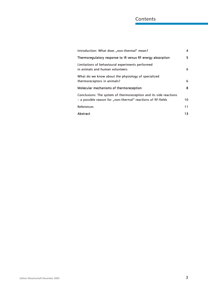#### **Contents**

| Introduction: What does "non-thermal" mean?                                                                                       | 4  |
|-----------------------------------------------------------------------------------------------------------------------------------|----|
| Thermoregulatory response to IR versus RF energy absorption                                                                       | 5  |
| Limitations of behavioural experiments performed<br>in animals and human volunteers                                               | 6  |
| What do we know about the physiology of specialized<br>thermoreceptors in animals?                                                | 6  |
| Molecular mechanisms of thermoreception                                                                                           | 8  |
| Conclusions: The system of thermoreception and its side reactions<br>- a possible reason for "non-thermal" reactions of RF-fields | 10 |
| References                                                                                                                        | 11 |
| Abstract                                                                                                                          | 13 |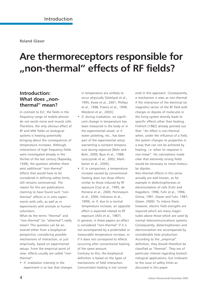### **Are thermoreceptors responsible for "non-thermal" effects of RF fields?**

#### **Introduction:** What does ..non**thermal" mean?**

In contrast to ELF, the fields in the frequency range of mobile phones do not excite nerve and muscle cells. Therefore, the only obvious effect of RF and MW fields on biological systems is heating potentially bringing about the consequences of temperature increases. Although interactions of high frequency fields were investigated already in the thirties of the last century [Rajewsky, 1938], the question whether there exist additional "non-thermal" effects that would have to be considered in defining safety limits, still remains controversial. The reason for this are publications claiming to have found such "nonthermal" effects in *in vitro* experiments with cells, as well as in experiments with animals or human volunteers.

What do the terms "thermal" and "non-thermal" (or "athermal") really mean? This question can be answered either from a biophysical perspective, considering possible mechanisms of interaction, or just empirically, based on experimental setups. From the empirical point of view, effects usually are called "nonthermal":

• if irradiation intensity in the experiment is so low that changes in temperature are unlikely to occur physically [Geletyuk et al., 1995; Kwee et al., 2001; Phillips et al., 1998; Preece et al., 1999; Weisbrot et al., 2003];

- if, during irradiation, no significant change in temperature has been measured in the body or in the experimental vessel, or if water jacketing, etc., has been part of the experimental setup warranting a constant temperature during exposure [Bohr and Bohr, 2000; Byus et al., 1988; Leszczynski et al., 2002; Markkanen et al., 2004];
- if, in comparison, a temperature increase caused by conventional heating does not show effects similar to those induced by RF exposure [Cao et al., 1995; de Pomerai et al., 2000; Peinnequin et al., 2000; Velizarov et al., 1999], or if, due to a normal temperature increase, an opposite effect is expected related to RF exposure [Allis et al., 1987].

In general, in these papers an effect is considered "non-thermal" if it is not accompanied by a predictable or measurable temperature increase, or if it does not correspond to effects occurring after conventional heating of the same amount.

Contrary to this, the biophysical definition is based on the types of mechanisms of field interaction. Concomitant heating is not considered in this approach. Consequently, a mechanism is seen as non-thermal if the interaction of the electrical (or magnetic) vector of the RF field with charges or dipoles of molecules in the living system directly leads to specific effects other than heating. Fröhlich [1982] already pointed out that: "An effect is non-thermal when, under the influence of a field, the system changes its properties in a way that can not be achieved by heating, i.e. when its response is non-linear". His calculations made clear that extremely strong fields would be necessary to move molecular dipoles.

Non-thermal effects in this sense actually are well known, as for example in dielectrophoreses or electrorotation of cells [Fuhr and Hagedorn, 1996; Fuhr et al., 1996; Gimsa, 1991; Glaser and Fuhr, 1987; Glaser, 2000]. To induce them, however, electric field strengths are required which are many magnitudes above those which are used by normal telecommunications systems. Consequently, dielectrophoresis and electrorotation are accompanied by considerable heat production. According to the "empirical" definition, they should therefore be classified as "thermal". They are of particular interest regarding biotechnological applications, but irrelevant to the issue of safety limits as discussed in this paper.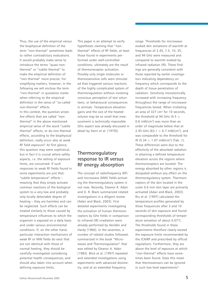Thus, the use of the empirical versus the biophysical definition of the term "non-thermal" sometimes leads to rather contradictory evaluations. It would probably make sense to introduce the terms "quasi-nonthermal" or "subtle thermal" to make the empirical definition of "non-thermal" more precise. For simplifying matters, however, in the following we will enclose the term "non-thermal" in quotation marks when referring to the empirical definition in the sense of "so-called non-thermal" effects.

In this context, the question arises: Are effects that are called "nonthermal" in the above mentioned empirical sense of the word "subtle thermal" effects, or do non-thermal effects, according to the biophysical definition, really occur also at weak RF field exposure? At first glance, this question may seem sophistical, but in fact it is crucial where safety aspects, i.e. the setting of exposure limits, are concerned. If such responses to weak RF fields found in some experiments are just that: "subtle temperature" effects – meaning that they simply activate common reactions of the biological system to a very low and probably only locally detectable degree of heating – they are harmless and can be neglected. Such effects can be treated similarly to those caused by temperature influences to which the organism is exposed on a daily basis and under various environmental conditions. If, on the other hand, particular interaction mechanisms of weak RF or MW fields do exist that are not identical with those of normal heating, they should be carefully investigated considering potential health consequences, and should also taken into account when defining exposure limits.

This paper is an attempt to verify hypotheses claiming that "nonthermal" effects of RF fields, at least those found in experiments performed under well-controlled conditions, ultimately are the result of thermoreceptor activation. Possibly only single molecules or thermosensitive cells were stimulated that triggered various reactions of the highly complicated system of thermoregulation without involving conscious perception of test volunteers, or behavioural consequences in animals. Temperature elevation gains and the size of the heated volume may be so small that measurement is technically impossible (this aspect was already discussed in detail by Stern et al. [1979]).

#### Thermoregulatory response to IR versus RF energy absorption

The concept of radiofrequency (RF) and microwave (MW) fields activating the thermoregulatory system is not new. Recently, Eleanor R. Adair and D. R. Black summarized related investigations in a diligent review [Adair and Black, 2003]. First detailed experiments investigating the activation of human thermoreceptors by GHz fields in comparison to infrared (IR) irradiation were already performed by Hendler and Hardy [1960]. In the seventies, a number of related studies followed, summarized in the book "Microwaves and Thermoregulation" that was edited by Eleanor A. Adair [1983]. Blick at al. [1997] repeated and extended investigations using experiments with advanced dosimetry, and at an extended frequency

range. Thresholds for microwaveevoked skin sensations of warmth at frequencies of 2.45, 7.5, 10, 35, and 94 GHz were measured and compared to warmth evoked by infrared radiation (IR). These findings are generally consistent with those reported by earlier investigators indicating dependency on frequency which corresponds to the depth of tissue penetration of radiation. Sensitivity monotonically increased with increasing frequency throughout the range of microwave frequencies tested. When irridiating an area of 327 cm<sup>2</sup> for 10 seconds, the threshold at 94 GHz (4.5  $\pm$ 0.6 mW/cm2) was more than an order of magnitude below that at 2.45 GHz (63.1  $\pm$  6.7 mW/cm<sup>2</sup>), and was comparable to the threshold for IR  $(5.34 \pm 1.07 \text{ mW/cm}^2)$  (Tab. 1). These differences were due to the effectivity of the absorbed radiation in attaining a defined temperature elevation across the regions where thermoreceptors are located. The energy absorbed by other regions is dissipated without any effect on the thermoregulatory system. Thermoreceptors of the skin located in the outer 0.6 mm skin layer are primarily activated [Adair and Black, 2003]. Riu et al. [1997] calculated the temperature profiles generated by these frequencies after 3 and 10 seconds of skin exposure and found corresponding thresholds of temperature sensation of about 0.07°C. The thresholds found in these experiments therefore clearly exceed the exposure limits recommended by the ICNIRP and prescribed by official regulations. Furthermore, they are above the level of exposure at which "non-thermal" effects have sometimes been found. Does this mean that thermosensors can be ignored in such low level experiments?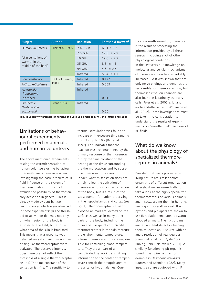| <b>Subject</b>                                              | <b>Author</b>          | <b>Radiation</b> | Threshold mW/cm <sup>2</sup> |
|-------------------------------------------------------------|------------------------|------------------|------------------------------|
| Human volunteers                                            | Blick et al. 1997      | 2.45 GHz         | $63.1 \pm 6.7$               |
| (skin sensations of<br>warmth in the<br>middle of the back) |                        | $7.5$ GHz        | $19.5 \pm 2.9$               |
|                                                             |                        | $10$ GHz         | $19.6 \pm 2.9$               |
|                                                             |                        | 35 GHz           | $8.8 \pm 1.3$                |
|                                                             |                        | 94 GHz           | $4.5 \pm 0.6$                |
|                                                             |                        | Infrared         | $5.34 \pm 1.1$               |
| Boa constrictor                                             | De Cock Buning<br>1983 | Infrared         | 0.177                        |
| Python reticulaturs                                         |                        | Infrared         | 0.059                        |
| Agkistrodon                                                 |                        | Infrared         |                              |
| rhodostoma                                                  |                        |                  |                              |
| (pit viper)                                                 |                        |                  | 0.011                        |
| Fire beetle                                                 | <b>Evans 1964</b>      | Infrared         |                              |
| (Melanophila                                                |                        |                  |                              |
| acuminata)                                                  |                        |                  | 0.06                         |

Tab. 1: Sensitivity threshold of humans and various animals to MW-, and infrared radiation.

#### Limitations of behavioural experiments performed in animals and human volunteers

The above mentioned experiments testing the warmth sensation of human volunteers or the behaviour of animals are of relevance when investigating the basic problem of RF field influence on the system of thermoregulation, but cannot exclude the possibility of thermosensory activation in general. This is already made evident by two circumstances which were observed in these experiments: (I) The threshold of activation depends not only on what region of the body is exposed to the field, but also on what area of the skin is irradiated. This means that a response was detected only if a minimum number of singular thermoreceptors were activated. The observed intensity does therefore not reflect the threshold of a single thermoreceptor cell. (II) The time constant of the sensation is  $>1$  s. The sensitivity to

thermal stimulation was found to increase with exposure time ranging from 3 s up to 10 s [Riu et al., 1997]. This indicates that the reaction was not determined by the primary response of thermosensors but by the time constant of the heating of the tissue surrounding the thermoreceptors and by subsequent neuronal processes. In fact, warmth sensation does not simply reflect the activation of thermoreceptors in a specific region of the body, but is a result of the subsequent information processing in the hypothalamus and cortex (see: Fig. 1). Thermoreceptors of warmblooded animals are located on the surface as well as in many other parts of the body, including the brain and the spinal cord. Whilst thermoreceptors in the skin measure the environmental temperature, internal thermoreceptors are responsible for controlling blood temperature. They are all part of a complicated network transmitting information to the center of temperature control: the preoptic area of the anterior hypothalamus. Conscious warmth sensation, therefore, is the result of processing the information provided by all these sensors, including a lot of other physiological conditions. In the last years our knowledge on molecular and cellular mechanisms of thermoreception has remarkably increased. So it was shown that not only nerve endings and dendrids are responsible for thermoreception, but thermosensitive ion channels are also found in keratinocytes, ovary cells [Peier et al., 2002 a, b] and aorta endothelial cells [Watanabe et al., 2002]. These investigations must be taken into consideration to understand the results of experiments on "non-thermal" reactions of RF-fields.

#### What do we know about the physiology of specialized thermoreceptors in animals?

Provided that many processes in living nature are similar across organisms of different organizational levels, it makes sense firstly to take a look at the highly specialized thermoreceptors of various animals and insects, aiding them in hunting, feeding and overall survival. Boas, pythons and pit vipers are known to use IR radiation emanated by warmblooded animals. Their pit organs are radiant heat detectors helping them to locate an IR source with an angle resolution of few degrees [Campbell et al., 2002; de Cock Buning, 1983; Neuweiler, 2003]. A similarly functioning pit organ is found in vampire bats, as for example in *Desmodus rotundus* [Kürten and Schmidt, 1982]. Many insects also are equipped with IR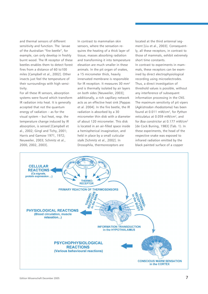and thermal sensors of different sensitivity and function. The larvae of the Australian "fire beetle", for example, can only develop in freshly burnt wood. The IR receptor of these beetles enables them to detect forest fires from a distance of 60 to100 miles [Campbell et al., 2002]. Other insects just feel the temperature of their surroundings with high sensitivity.

For all these IR sensors, absorption systems were found which transform IR radiation into heat. It is generally accepted that not the quantum energy of radiation – as for the visual system – but heat, resp. the temperature change induced by IR absorption, is sensed [Campbell et al., 2002; Gingl and Tichy, 2001; Harris and Gamow 1971, 1972; Neuweiler, 2003; Schmitz et al., 2000, 2002, 2003].

In contrast to mammalian skin sensors, where the sensation requires the heating of a thick layer of tissue, masses absorbing radiation and transforming it into temperature elevation are much smaller in these animals. In the pit organ of snakes, a 15 micrometer thick, heavily innervated membrane is responsible for IR reception. It measures 30 mm<sup>2</sup> and is thermally isolated by air layers on both sides [Neuweiler, 2003]; additionally, a rich capillary network acts as an effective heat sink [Pappas et al. 2004]. In the fire beetle, the IR radiation is absorbed by a 30 micrometer thin disk with a diameter of about 120 micrometer. This disk is located in an air-filled space inside a hemispherical invagination, and held in place by a small cuticular stalk [Schmitz et al., 2002]. In Drosophila, thermoreceptors are

located at the third antennal segment [Liu et al., 2003]. Consequently, all these receptors, in contrast to those of mammals, exhibit extremely short time constants. In contrast to experiments in mammals, these receptors can be examined by direct electrophysiological recording using microelectrodes. Thus, a direct investigation of threshold values is possible, without any interference of subsequent information processing in the CNS. The maximum sensitivity of pit vipers (*Agkistrodon rhodostoma*) has been found at 0.011 mW/cm2, for *Python reticulatus* at 0.059 mW/cm2, and for *Boa constrictor* at 0.177 mW/cm2 [de Cock Buning, 1983] (Tab. 1). In these experiments, the head of the respective snake was exposed to infrared radiation emitted by the black painted surface of a copper

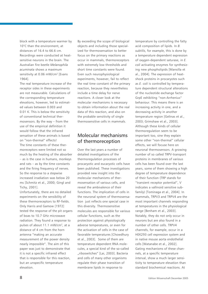block with a temperature warmer by 10°C than the environment, at distances of 16.4 to 66.6 cm. Recordings were conducted at heatsensitive neurons in the brain. The Australian fire beetle *Melanophila acuminata* shows a maximum sensitivity at 0.06 mW/cm<sup>2</sup> [Evans 1964].

The real temperature increase of the receptor sides in these experiments are not measurable. Calculations of the corresponding temperature elevations, however, led to estimated values between 0.003 and 0.01 K. This is below the sensitivity of conventional technical thermosensors. By the way – from the use of the empirical definition it would follow that the infrared sensation of these animals is based on "non-thermal" effects! The time constants of these thermoreceptors were limited not so much by the heating of the absorber – as is the case in humans, monkeys and rats – as by the time constants and the firing frequency of nerves. So the response to a stepwise increased irradiation was below 20 ms [Schmitz et al., 2000; Gingl and Tichy, 2001].

Unfortunately, there are no detailed experiments on the sensibility of these thermoreceptors to RF-fields. Only Harris and Gamow [1972] tested the response of the pit organs of boas to 10.7 GHz microwave radiation. They found a response to pulses of about 11.1 mW/cm<sup>2</sup>, at a distance of 4 cm from the horn antenna "making an accurate measurement of the power density nearly impossible". The aim of this paper was just to demonstrate that it is not a specific infrared effect that is responsible for this reaction, but an unspecific temperature elevation.

By exceeding the scope of biological objects and including those specialized for thermosensation to better focus on the primary reactions as occur in mammals, thermoreceptors with extremely low thresholds and short time constants were found. Even such neurophysiological experiments, however, fail to reflect the real time constant of the primary reaction, because they nevertheless include a time delay for nerve reactions. A closer look at the molecular mechanisms is necessary to obtain information about the real data of this reaction, and also on the probable sensitivity of single thermosensitive cells in mammals.

#### Molecular mechanisms of thermoreception

Over the last years a number of detailed investigations of the thermoregulation processes of procaryotic and eucaryotic cells have been published. These investigations provided new insight into the molecular mechanisms of thermosensation of various cells, and reveal the ambivalence of their functions. The implication of cells in the neuronal system of thermosensation just reflects one special case in this diversity. Thermosensitive molecules are responsible for various cellular functions, such as the protection against physiologically adverse temperatures, or even for the activation of cells in the case of favorable temperatures [Chowdhury et al., 2003]. Some of them are temperature dependent RNA molecules, a special kind of the so-called "riboswitches" [Lai, 2003]. Bacteria and cells of many other organisms regulate their phase transition of membrane lipids in response to

temperature by controlling the fatty acid composition of lipids. In *B. subtilis*, for example, this is done by a temperature dependent expression of oxygen-dependent saturase, in *E. coli* activating enzymes for synthesizing new phospholipids [Mansilla et al., 2004]. The expression of heatshock proteins in procaryotes such as *E. coli* is controlled by temperature dependent structural alterations of the nucleotide exchange factor GrpE exhibiting "non-Arrhenius" behaviour. This means there is an increasing activity in one, and a decreasing activity in another temperature region [Gelinas et al., 2003; Grimshaw et al., 2003]. Although these kinds of cellular thermoregulation seem to be important too, sine they explain some other "non-thermal" cellular effects, we will focuse here on neuronal thermosensors. A growing number of so called TRPV-transport proteins in membranes of various cells has been found over the last years, some of them showing a high degree of temperature dependence of their function (TRP stands for "transient receptor potential", V indicates a vallinoid sensitive subfamily) [Tominaga et al., 2004]. In mammals, TRPV3 and TRPV4 are the most important channels responding at temperatures in the physiological range [Benham et al., 2003]. Notably, they do not only occur in neurons but are also found in a number of other cells. TRPV4 channels, for example, occur in a HEK293 cell expression system and in native mouse aorta endothelial cells [Watanabe et al., 2002]. Gating mechanisms of these channels, at a specific temperature interval, show a much larger sensitivity to temperature elevation than standard biochemical reactions. At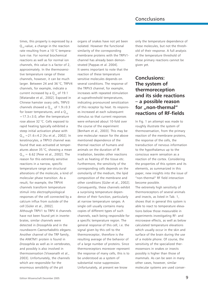times, this property is expressed by a Q*10*-value, a change in the reaction rate resulting from a 10 °C temperature rise. For normal biochemical reactions as well as for normal ion channels, this value is a factor of 2, approximately. In the thermosensitive temperature range of these channels, however, it can be much larger. Between 24 and 36 °C, TRPV4 channels, for example, indicate a current increased by a  $Q_{10}$  of 19.1 [Watanabe et al., 2002]. Exposed in Chinese hamster ovary cells, TRPV3 channels showed a  $Q_{10}$  of 1.9±0.3 for lower temperatures, and a  $Q_{10}$  $=17.3\pm3.0$ , after the temperature rose above 32 °C. Cells exposed to rapid heating typically exhibited a steep initial activation phase with  $Q_{10} = 21.6 \pm 4.2$  [Xu et al., 2002]. In keratinocytes, a TRPV3 channel was found that was activated at temperatures above 35 °C, showing a mean  $Q_{10} = 6.62$  [Peier et al., 2002]. The reason for this extremely sensitive reactions in a narrow, specific temperature range are structural alterations of the molecule, a kind of molecular phase transition. As a result, for example, the TRPV4 channels transform temperature stimuli into electrophysiological responses of the cell connected by a calcium influx from outside of the cell [Güler et al., 2002]. Although TRPV1 to TRPV 4 channels have not been found yet in invertebrates, similar channels were detected in *Drosophila* and in the roundworm *Caenorhabditis elegans*. Another channel of the TRP family, the ANKTM1 protein is found in *Drosophila* as well as in vertebrates, and possibly is also involved in thermosensation [Viswanath et al., 2003]. Unfortunately, the channels which are responsible for the enormous sensibility of the pit

organs of snakes have not yet been isolated. However the functional similarity of the corresponding membrane proteins with the TRPV1 channel has already been demonstrated [Pappas et al. 2004]. It seems important to note that the reaction of these temperature sensitive molecules depends on several conditions. The response of the TRPV3 channel, for example, increases with repeated stimulation at suprathreshold temperatures, indicating pronounced sensitization of this receptor by heat. Its responses increased at each subsequent stimulus so that current responses were enhanced about 10-fold over the course of the experiment [Benham et al., 2003]. This may be one molecular reason for the above mentioned dependence of the thermal reaction of humans and animals on the duration of IR irradiation, besides other reactions such as heating of the tissue etc. Furthermore, the sensitivity of the corresponding cells depends on the osmolarity of the medium, the lipid composition of the membrane and other conditions [Güler et al., 2002]. Consequently, these channels exhibit a surprising temperature dependence of their function, particularly at narrow temperature ranges. A single cell usually contains many copies of different types of such channels, each being responsible for a specific temperature region. The general response of this cell, i.e. the signal given by this cell to the thermoreceptor, therefore is the resulting average of the behavior of of a large number of proteins. Since thermoreceptors moreover represent the response of many cells, this is to be understood as a system of substantial noise suppression. Unfortunately, at present we know

only the temperature dependence of these molecules, but not the threshold of their response. A full analysis of the temperature threshold of these primary reactions cannot be given yet.

#### **Conclusions: The system of thermoreception and its side reactions – a possible reason** for "non-thermal" **reactions of RF-fields**

In Fig. 1 an attempt was made to roughly illustrate the system of thermosensation, from the primary reaction of the membrane proteins, the response of the cells, the transduction of nervous information to the hypothalamus up to the conscious warm sensation as a reaction of the cortex. Considering the properties of this system and its elements, as summarized in this paper, new insights into the issue of "non-thermal" RF field interaction become possible.

The extremely high sensitivity of thermoreceptors of several animals and insects, as listed in Tab. 1, shows that in general this system is able to react to temperature elevations below those measurable in experiments investigating RF- and microwave effects, as well as below calculated temperature elevations which usually occur in the skin and surface of the brain during the use of a mobile phone. Of course, the sensitivity of the specialized thermosensors in snakes or insects possibly is higher than those of mammals. As can be seen in many other cases, however, similar molecular systems are used conser-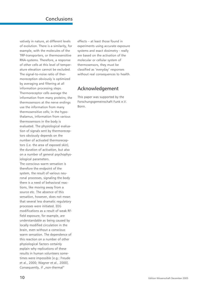#### Conclusions

vatively in nature, at different levels of evolution. There is a similarity, for example, with the molecules of the TRP-transporters, or thermosensitive RNA-systems. Therefore, a response of other cells at this level of temperature elevation cannot be excluded. The signal-to-noise ratio of thermoreception obviously is optimized by averaging and filtering at all information processing steps. Thermoreceptor cells average the information from many proteins; the thermosensors at the nerve endings use the information from many thermosensitive cells; in the hypothalamus, information from various thermosensors in the body is evaluated. The physiological evaluation of signals sent by thermoreceptors obviously depends on the number of activated thermoreceptors (i.e. the area of exposed skin), the duration of activation, but also on a number of general psychophysiological parameters.

The conscious warm sensation is therefore the endpoint of the system, the result of various neuronal processes, signaling the body there is a need of behavioral reactions, like moving away from a source etc. The absence of this sensation, however, does not mean that several less dramatic regulatory processes were initiated. EEG modifications as a result of weak RFfield exposure, for example, are understandable as being caused by locally modified circulation in the brain, even without a conscious warm sensation. The dependence of this reaction on a number of other physiological factors certainly explain why replications of these results in human volunteers sometimes were impossible [e.g.: Freude et al., 2000; Wagner et al., 2000]. Consequently, if "non-thermal"

effects – at least those found in experiments using accurate exposure systems and exact dosimetry - really are based on the activation of the molecular or cellular system of thermosensors, they must be classified as 'everyday' responses without real consequences to health.

#### Acknowledgement

This paper was supported by the Forschungsgemeinschaft Funk e.V. Bonn.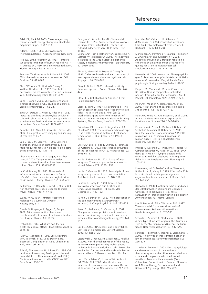#### References

Adair ER, Black DR 2003. Thermoregulatory responses to RF energy absorption. Bioelectromagnetics Supp. 6: S17-S38.

Adair ER (Edit.) 1983. Microwaves and Thermoregulations. Academic Press, New York.

Allis JW, Sinha-Robinson BL. 1987. Temperatur-specific inhibition of human red cell Na+/ K+ATPase by 2,450-MHz microwave radiation. Bioelectromagnetics 8: 203-212.

Benham CD, Gunthorpe M J, Davis J B. 2003. TRPV channels as temperature sensors. Cell Calcium 33: 479-487.

Blick DW, Adair ER, Hurt WD, Sherry CJ, Walters TJ, Merritt JH. 1997. Thresholds of microwave-evoked warmth sensation in human skin. Bioelectromagnetics 18: 403-409.

Bohr H, Bohr J. 2000. Microwave enhanced kinetics observed in ORD studies of a protein. Bioelectromagnetics 21: 68-72.

Byus CV, Dartun K, Pieper S, Adey WR. 1988. Increased ornithine decarboxylase activity in cultured cells exposed to low energy modulated microwave fields and phorbol ester tumor promoters. Cancer Res. 48: 4222-4226.

Campbell A L, Naik R R, Sowards L, Stone MO. 2002. Biological infrared imaging and sensing. Micron 33: 211-225.

Cao G, Liu L-M, Cleary SF. 1995. Cell cycle alterations induced by isothermal 27 MHz radio-frequency radiation exposure. Bioelectrochem. Bioenerg. 37: 131-140.

Chowdhury S, Ragaz C, Kreuger, E, Narberhaus, F. 2003. Temperature-controlled structural alterations of an RNA thermometer. J. Biol. Chem. 278: 47915-47921.

de Cock Buning TJ. 1983. Thresholds of infrared sensitive tectal neurons in *Pyton reticulatus, Boa constrictor* and *Agkistrodon rhodostoma.* J. Comp. Physiol. 151: 461-467.

de Pomerai D, Daniells C, David H, et al. 2000. Non-thermal heat-shock response to microwaves. Nature 405: 417-418.

Evans, W. G. 1964. Infrared receptors in Melanophila acuminata De Geer. Nature; 202, 211

Freude G, Ullsperger P, Eggert S, Ruppe I. 2000. Microwaves emitted by cellular telephones affect human slow brain potentials. Eur. J. Appl. Physiol. 81: 18-27.

Fröhlich H. 1982. What are non-thermal electric biological effects? Bioelectromagnetics  $3:45-46$ 

Fuhr G, Hagedorn R. 1996. Cell Electrorotation. In: Lynch, P. T., M. R. Davey (Edrs.): Electrical Manipulation of Cells. Chapman & Hall, New York 38-70.

Fuhr G, Zimmermann U, Shirley SG. 1996. Cell motion in time-varying fields: principles and potential. in: U. Zimmermann, G. Neil (Edit.) Electromanipulation of cells. CRC Press INC, Boca Raton 259-328.

Geletyuk VI, Kazachenko VN, Chemeris NK, Fesenko EE. 1995. Dual effects of microwaves on single Ca2+-activated K+ channels in cultured kidney cells vero. FEBS Letters 359: 85-88.

Gelinas AD, Toth J, Bethoney KA, Langsetmo K, Stafford WF, Harrison CJ. 2003. Thermodynamic linkage in the GrpE nucleotide exchange factor, a molecular thermosensor. Biochemistry 42: 9050-9059.

Gimsa J, Marszalek P, Loewe U, Tsong TY. 1991. Dielectrophoresis and electrorotation of neurospora slime and murine myeloma cells. Biophys. J. 60: 749-760.

Gingl E, Tichy H. 2001. Infrared sensitivity of thermoreceptors. J. Comp. Physiol. 187: 467- 475.

Glaser R. 2000. Biophysics. Springer, Berlin Heidelberg New York.

Glaser R, Fuhr G. 1987. Electrorotation – The spin of cells in rotating high frequency electric fields. In: M. Blank and E. Findl (eds.); Mechanistic Approaches to Interactions of Electric and Electromagnetic Fields with Living Systems; Plenum Press, New York 271-289.

Grimshaw JPA, Jelesarov I, Siegenthaler RK, Christen P. 2003. Thermosensor action of GrpE - The DnaK chaperone system at heat shock temperatures. J.Biol. Chem. 278: 19048- 19053.

Güler AD, Lee HS, Iida T, Shimizu I, Tominaga M, Caterina M. 2002. Heat-evoked activation of the ion channel TRPV4. J. Neuroscience 22: 6408-6414.

Harris JF, Gamow RI. 1971. Snake infrared receptors. Thermal or photochemical mechanisms? Science 172: 1252-1253.

Harris JF, Gamow RI. 1972. An analysis of heat receptors by means of microwave radiation. Biol. Med. Sci. Instrument. 9: 187-190.

Hendler E, Hardy JD. 1960. Infrared and microwave effects on skin heating and temperature sensation. IRE Trans. Med. Electronics 7: 143-152.

Kürten L, Schmidt U. 1982. Thermoreception in the common vampire bat (*Desmodus rotundus*). J. Comp. Physiol. A 146: 223-228.

Kwee, S., Raskmark, P., Velizarov, S. 2001. Changes in cellular proteins due to environmental non-ionizing radiation. I. Heat-shock proteins. Electro and Magnetobiology 20: 141- 152.

Lai, EC. 2003. RNA sensors and riboswitches. Self-regulating messages. Current Biology 2003; 13: R285-R291.

Leszczynski D, Joenvaara S, Reivinen J, Kuokka R. 2002. Non-thermal activation of the hsp27/ p38MAPK stress pathway by mobile phone radiation in human endothelial cells: Molecular mechanism for cancer- and blood-brain barrierrelated effects. Differentiation 70: 120-129.

Liu L, Yermolaieva O, Johnson WA, Abboud FM, Welsh M J. 2003. Identification and function of thermosensory neurons in Drosophila larvae. Nature Neuroscience 6: 267-273.

Mansilla, MC, Cybulski, LE, Albanesi, D., deMendoza, D. 2004. Control of membrane lipid fluidity by molecular thermosensors. J. Bacteriol. 186: 6681-6688

Markkanen A, Penttinen P, Naarala J, Pelkonen J, Sihvonen AP, and Juutilainen J. 2004. Apoptosis induced by ultraviolet radiation is enhanced by amplitude modulated radiofrequency radiation in mutant yeast cells. Bioelectromagnetics 25: 127-133.

Neuweiler G. 2003. Neuro- und Sinnesphysiologie - 3. Temperaturempfindlichkeit. In: G. Heldmaier u. G. Neuweiler: Vergleichende Tierphysiologie, Springer-Verlag Berlin 1: 89-96.

Pappas, TC, Motamedi, M., and Christensen, BN 2004. Unique temperature-activated neurons from pit viper thermosensors. Am. J. Physiol. Cell Physiology 287: C1219-C1228.

Peier AM, Moqrich A, Hergarden AC, et al. 2002. A TRP channel that senses cold stimuli and menthol. Cell 108: 705-715.

Peier AM, Reeve AJ, Andersson EA, et al. 2002. A heat-sensitive TRP channel expressed in keratinocytes. Science 296: 2046-2049.

Peinnequin A, Piriou A, Mathieu J, Dabouis V, Sebbah C, Malabiau R, Debouzy JC. 2000. Non-thermal effects of continuous 2.45 GHz microwaves on Fas-induced apoptosis in human Jurkat T-cell line. Bioelectrochem. Bioenerg. 51: 157-161.

Phillips JL, Ivaschuk O, IshidaJones T, Jones RA, CampbellBeachler M, Haggren W. 1998. DNA damage in Molt-4 T-lymphoblastoid cells exposed to cellular telephone radiofrequency fields in vitro. Bioelectrochem. Bioenerg. 45: 103-110.

Preece AW, Iwi G, DaviesSmith A, Wesnes K Butler S, Lim E, Varey A. 1999. Effect of a 915- MHz simulated mobile phone signal on cognitive function in man. Int. J. Radiat. Biol. 75: 447-456.

Rajewsky B. 1938. Biophysikalische Grundlagen der Ultrakurzwellen-Wirkung im lebenden Gewebe. in: B. Rajewsky (Hrsg.) Ultrakurzwellen in ihren medizinischen-biologischen Anwendungen, G. Thieme, Leipzig.

Riu PJ, Foster KR, Blick DW, Adair ERA. 1997. Thermal model for human thresholds of microwave-evoked warmth sensations. Bioelectromagnetics 18: 578-583.

Schmitz H, Schmitz A, Bleckmann H. 2000. A new type of infrared organ in the Australian "fire-beetle" Merimna atrata (Coleoptera: Buprestidae). Naturwissenschaften 87: 542-545.

Schmitz H, Schmitz A, Trenner S, Bleckmann H. 2002. A new type of insect infrared organ of low thermal mass. Naturwissenschaften 89: 226-229.

Schmitz H, Trenner S. 2003. Electrophysiological characterization of the multipolar thermoreceptors in the ''fire-beetle'' Merimna atrata and comparison with the infrared sensilla of Melanophila acuminata (Both Coleoptera, Buprestidae). J. Compar. Physiology A Neuroethology Sensory Neural and Behavioral Physiology 189: 715-722.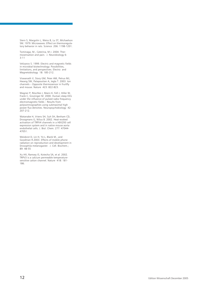Stern S, Margolin L, Weiss B, Lu ST, Michaelson SM. 1979. Microwaves: Effect on thermoregulatory behavior in rats. Science 206: 1198-1201.

Tominaga, M., Caterina, M J. 2004. Thermosensation and pain. J. Neurobiology 6: 3-11

Velizarov S. 1999. Electric and magnetic fields in microbial biotechnology: Possibilities, limitations, and perspectives. Electro and Magnetobiology 18: 185-212.

Viswanath V, Story GM, Peier AM, Petrus MJ, Hwang SW, Patapoutian A, Jegla T. 2003. Ion channels – Opposite thermosensor in fruitfly and mouse. Nature 423: 822-823.

Wagner P, Röschke J, Mann K, Fell J, Hiller W, Frank C, Grozinger M. 2000. Human sleep EEG under the influence of pulsed radio frequency electromagnetic fields – Results from polysomnographies using submaximal high power flux densities. Neuropsychobiology 42: 207-212.

Watanabe H, Vriens SH, Suh SH, Benham CD, Droogmans G, Nilius B. 2002. Heat-evoked activation of TRPV4 channels in a HEK293 cell expression system and in native mouse aorta endothelial cells. J. Biol. Chem. 277: 47044- 47051.

Weisbrot D, Lin H, Ye L, Blank M., and Goodman R.2003. Effects of mobile phone radiation on reproduction and development in Drosophila melanogaster. J. Cell. Biochem.; 89: 48-55

Xu HX, Ramsey IS, Kotecha SA, et al. 2002. TRPV3 is a calcium permeable temperaturesensitive cation channel. Nature 418: 181- 186.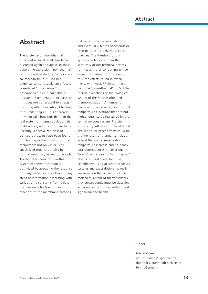#### Abstract

#### **Abstract**

The existence of "non-thermal" effects of weak RF-fields has been discussed again and again. In these papers the expression "non-thermal" is mostly not related to the biophysical mechanism, but used in a empirical sense. Usually, an effect is considered "non-thermal" if it is not accompanied by a predictable or measurable temperature increase, or if it does not correspond to effects occurring after conventional heating of a similar degree. This approach does not take into consideration the real system of thermoregulation, its ambivalence, and its high sensitivity. Recently, a specialized class of transport proteins have been found functioning as thermosensors in cell membranes not only in cells of specialized organs, but also in normal keratinocytes and other cells. The signal-to-noise ratio in this system of thermoreception is optimized by averaging the response of many proteins and cells and many steps of information processing with various time constants from below microseconds for the primary reactions of the membrane proteins,

milliseconds for nerve excitations, and eventually, tenths of seconds or even minutes for behavioral consequences. The threshold of this system can be lower than the sensitivity of our technical devices for measuring or controlling temperature in experiments. Considering this, the effects found in experiments with weak RF-fields in fact could be "quasi-thermal" or "subtle thermal" reactions of the biological system of thermosensation and thermoregulation. A number of reactions is conceivable, occurring at temperature elevations that are not high enough to be registered by the central nervous system. Protein expression, influences on local blood circulation, or other effects could be the the result of thermal stimulation, even if there is no measurable temperature increase and no behavioral consequences or conscious "warm" sensations. If "non-thermal" effects, at least those found in experiments using accurate exposure systems and exact dosimetry, really are based on the activation of the molecular system of thermosensors, they consequently must be classified as 'everyday' responses without real significance to health.

Author:

Roland Glaser Inst. of Biology/Experimental Biophysics, Humboldt University-Berlin /Germany